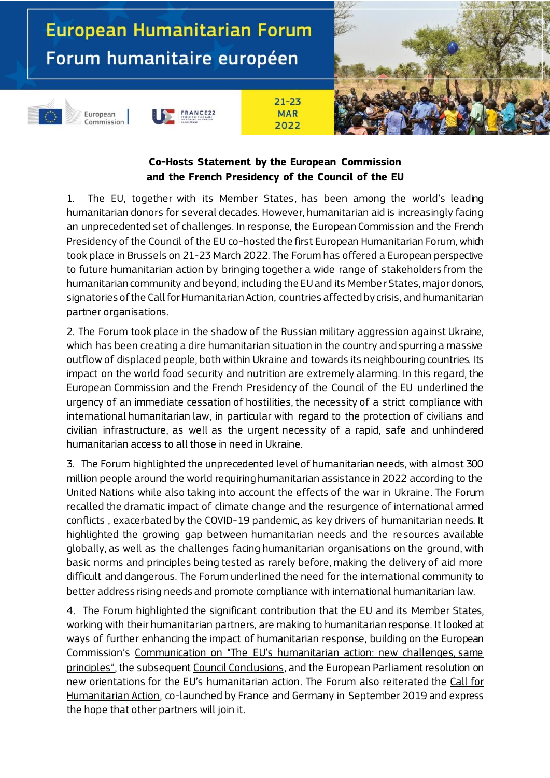# European Humanitarian Forum Forum humanitaire européen





European



# **Co-Hosts Statement by the European Commission and the French Presidency of the Council of the EU**

 $21 - 23$ 

**MAR** 

2022

1. The EU, together with its Member States, has been among the world's leading humanitarian donors for several decades. However, humanitarian aid is increasingly facing an unprecedented set of challenges. In response, the European Commission and the French Presidency of the Council of the EU co-hosted the first European Humanitarian Forum, which took place in Brussels on 21-23 March 2022. The Forum has offered a European perspective to future humanitarian action by bringing together a wide range of stakeholders from the humanitarian community and beyond, including the EU and its Membe r States, major donors, signatories of the Call for Humanitarian Action, countries affected by crisis, and humanitarian partner organisations.

2. The Forum took place in the shadow of the Russian military aggression against Ukraine, which has been creating a dire humanitarian situation in the country and spurring a massive outflow of displaced people, both within Ukraine and towards its neighbouring countries. Its impact on the world food security and nutrition are extremely alarming. In this regard, the European Commission and the French Presidency of the Council of the EU underlined the urgency of an immediate cessation of hostilities, the necessity of a strict compliance with international humanitarian law, in particular with regard to the protection of civilians and civilian infrastructure, as well as the urgent necessity of a rapid, safe and unhindered humanitarian access to all those in need in Ukraine.

3. The Forum highlighted the unprecedented level of humanitarian needs, with almost 300 million people around the world requiring humanitarian assistance in 2022 according to the United Nations while also taking into account the effects of the war in Ukraine . The Forum recalled the dramatic impact of climate change and the resurgence of international armed conflicts , exacerbated by the COVID-19 pandemic, as key drivers of humanitarian needs. It highlighted the growing gap between humanitarian needs and the resources available globally, as well as the challenges facing humanitarian organisations on the ground, with basic norms and principles being tested as rarely before, making the delivery of aid more difficult and dangerous. The Forum underlined the need for the international community to better address rising needs and promote compliance with international humanitarian law.

4. The Forum highlighted the significant contribution that the EU and its Member States, working with their humanitarian partners, are making to humanitarian response. It looked at ways of further enhancing the impact of humanitarian response, building on the European Commission's Communication on ["The EU's humanitarian action: new challenges, same](https://ec.europa.eu/echo/files/aid/hacommunication2021.pdf)  [principles](https://ec.europa.eu/echo/files/aid/hacommunication2021.pdf)", the subsequen[t Council Conclusions](https://data.consilium.europa.eu/doc/document/ST-8966-2021-INIT/en/pdf), and the European Parliament resolution on new orientations for the EU's humanitarian action. The Forum also reiterated the [Call for](https://urldefense.com/v3/__https:/onu.delegfrance.org/IMG/pdf/appel_a_l_action_humanitaire.pdf__;!!DOxrgLBm!Ter7GGLTLZxlGNc5oA30GqOPTogBA-6lp63z-Wp5fXT7V3qKTUKBKIx0YgkB83vcCQUDWKN41Q$)  [Humanitarian Action,](https://urldefense.com/v3/__https:/onu.delegfrance.org/IMG/pdf/appel_a_l_action_humanitaire.pdf__;!!DOxrgLBm!Ter7GGLTLZxlGNc5oA30GqOPTogBA-6lp63z-Wp5fXT7V3qKTUKBKIx0YgkB83vcCQUDWKN41Q$) co-launched by France and Germany in September 2019 and express the hope that other partners will join it.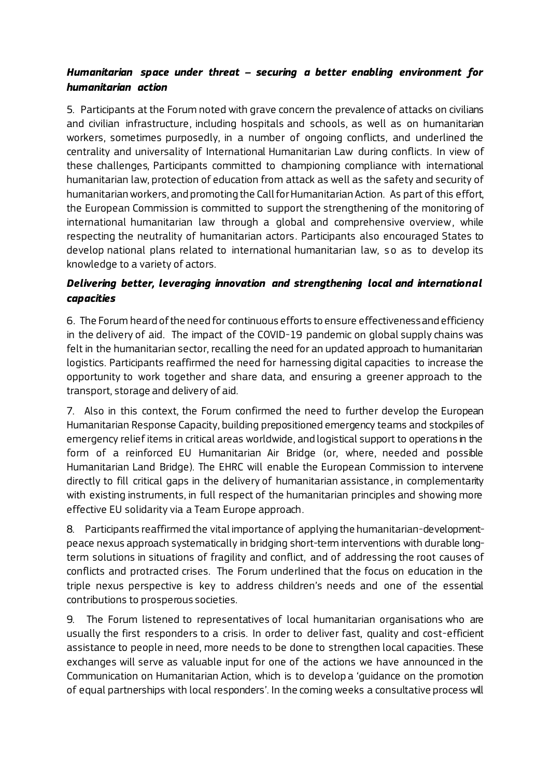#### *Humanitarian space under threat – securing a better enabling environment for humanitarian action*

5. Participants at the Forum noted with grave concern the prevalence of attacks on civilians and civilian infrastructure, including hospitals and schools, as well as on humanitarian workers, sometimes purposedly, in a number of ongoing conflicts, and underlined the centrality and universality of International Humanitarian Law during conflicts. In view of these challenges, Participants committed to championing compliance with international humanitarian law, protection of education from attack as well as the safety and security of humanitarian workers, and promoting the Call for Humanitarian Action. As part of this effort, the European Commission is committed to support the strengthening of the monitoring of international humanitarian law through a global and comprehensive overview, while respecting the neutrality of humanitarian actors. Participants also encouraged States to develop national plans related to international humanitarian law, so as to develop its knowledge to a variety of actors.

## *Delivering better, leveraging innovation and strengthening local and international capacities*

6. The Forum heard of the need for continuous efforts to ensure effectivenessand efficiency in the delivery of aid. The impact of the COVID-19 pandemic on global supply chains was felt in the humanitarian sector, recalling the need for an updated approach to humanitarian logistics. Participants reaffirmed the need for harnessing digital capacities to increase the opportunity to work together and share data, and ensuring a greener approach to the transport, storage and delivery of aid.

7. Also in this context, the Forum confirmed the need to further develop the European Humanitarian Response Capacity, building prepositioned emergency teams and stockpiles of emergency relief items in critical areas worldwide, and logistical support to operations in the form of a reinforced EU Humanitarian Air Bridge (or, where, needed and possible Humanitarian Land Bridge). The EHRC will enable the European Commission to intervene directly to fill critical gaps in the delivery of humanitarian assistance , in complementarity with existing instruments, in full respect of the humanitarian principles and showing more effective EU solidarity via a Team Europe approach.

8. Participants reaffirmed the vital importance of applying the humanitarian-developmentpeace nexus approach systematically in bridging short-term interventions with durable longterm solutions in situations of fragility and conflict, and of addressing the root causes of conflicts and protracted crises. The Forum underlined that the focus on education in the triple nexus perspective is key to address children's needs and one of the essential contributions to prosperous societies.

9. The Forum listened to representatives of local humanitarian organisations who are usually the first responders to a crisis. In order to deliver fast, quality and cost-efficient assistance to people in need, more needs to be done to strengthen local capacities. These exchanges will serve as valuable input for one of the actions we have announced in the Communication on Humanitarian Action, which is to develop a 'guidance on the promotion of equal partnerships with local responders'. In the coming weeks a consultative process will